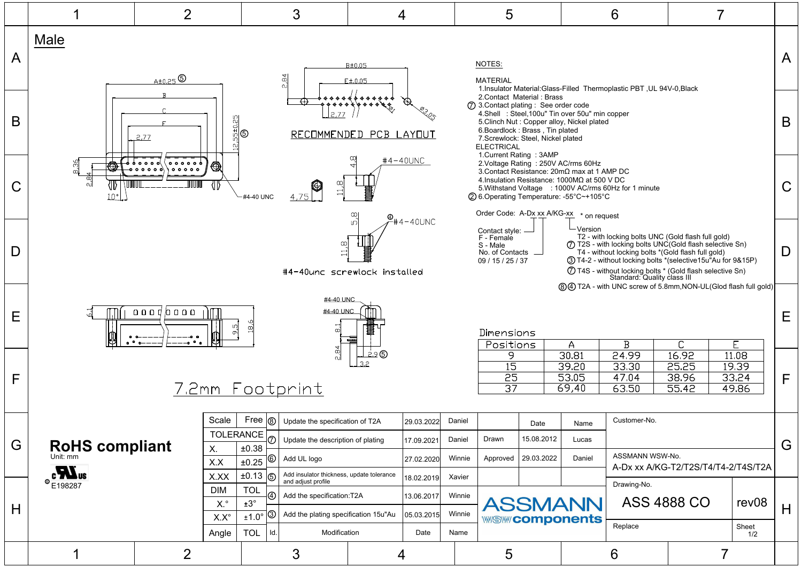|   |                                                                                                                                                                                                                                                                                                                                                                                                                                                                                                                                                                                                        | $\overline{2}$                                                                                     |                            |                                   | 3                                                                |                            | 4                        |                        | 5                                                                                              |            |         | 6                                                      | 7                                                                    |                   |   |
|---|--------------------------------------------------------------------------------------------------------------------------------------------------------------------------------------------------------------------------------------------------------------------------------------------------------------------------------------------------------------------------------------------------------------------------------------------------------------------------------------------------------------------------------------------------------------------------------------------------------|----------------------------------------------------------------------------------------------------|----------------------------|-----------------------------------|------------------------------------------------------------------|----------------------------|--------------------------|------------------------|------------------------------------------------------------------------------------------------|------------|---------|--------------------------------------------------------|----------------------------------------------------------------------|-------------------|---|
| A | Male                                                                                                                                                                                                                                                                                                                                                                                                                                                                                                                                                                                                   | NOTES:<br><b>MATERIAL</b><br>1.Insulator Material: Glass-Filled Thermoplastic PBT, UL 94V-0, Black |                            |                                   |                                                                  |                            |                          |                        |                                                                                                |            |         |                                                        |                                                                      |                   |   |
| B | 2. Contact Material: Brass<br>7 3. Contact plating : See order code<br>0,000000<br>4.Shell : Steel, 100u" Tin over 50u" min copper<br>$\frac{12,55 \pm 0.25}{\Theta}$<br>5. Clinch Nut: Copper alloy, Nickel plated<br>6. Boardlock: Brass, Tin plated<br>RECOMMENDED PCB LAYOUT<br>2,77<br>7.Screwlock: Steel, Nickel plated<br><b>ELECTRICAL</b>                                                                                                                                                                                                                                                     |                                                                                                    |                            |                                   |                                                                  |                            |                          |                        |                                                                                                |            |         |                                                        |                                                                      |                   | B |
| C | 1. Current Rating: 3AMP<br>œ<br>$#4-40$ UNC<br>2.Voltage Rating: 250V AC/rms 60Hz<br>000000<br>$\circledcirc$<br>3. Contact Resistance: 20mΩ max at 1 AMP DC<br>4. Insulation Resistance: 1000MΩ at 500 V DC<br>$\infty$<br>₩<br>₩<br>O<br>5. Withstand Voltage : 1000V AC/rms 60Hz for 1 minute<br>$10^{\circ}$<br>4,75<br>26. Operating Temperature: -55°C~+105°C<br>-#4-40 UNC<br>Order Code: A-Dx xx A/KG-xx * on request                                                                                                                                                                          |                                                                                                    |                            |                                   |                                                                  |                            |                          |                        |                                                                                                |            |         |                                                        |                                                                      | C                 |   |
| D | 5.8<br>$\mathcal{Q}_{\sharp 4-40\text{UNC}}$<br>$-$ Version<br>Contact style: -<br>T2 - with locking bolts UNC (Gold flash full gold)<br>F - Female<br>11,8<br>7 T2S - with locking bolts UNC(Gold flash selective Sn)<br>S - Male<br>T4 - without locking bolts *(Gold flash full gold)<br>No. of Contacts<br>3) T4-2 - without locking bolts *(selective 15u"Au for 9&15P)<br>09 / 15 / 25 / 37<br>7 T4S - without locking bolts * (Gold flash selective Sn)<br>Standard: Quality class III<br>#4-40unc screwlock installed<br><b>86 T2A - with UNC screw of 5.8mm, NON-UL(Glod flash full gold)</b> |                                                                                                    |                            |                                   |                                                                  |                            |                          |                        |                                                                                                |            |         |                                                        |                                                                      |                   | D |
| Ε | #4-40 UNC<br>$\begin{array}{c}\n0 & 0 & 0 & d & b & 0 & 0\n\end{array}$<br>#4-40 UNC<br><u>.</u><br>$\infty$<br>Dimensions<br>$\sigma$<br>≘<br>C<br>Positions<br>B<br>A                                                                                                                                                                                                                                                                                                                                                                                                                                |                                                                                                    |                            |                                   |                                                                  |                            |                          |                        |                                                                                                |            |         |                                                        |                                                                      | E                 | E |
| F |                                                                                                                                                                                                                                                                                                                                                                                                                                                                                                                                                                                                        |                                                                                                    |                            |                                   | 2.84<br><u>உ்கு</u><br><u> 7.2mm Footprint</u>                   |                            |                          |                        | 30.81<br>9<br>$\overline{15}$<br>39.20<br>$\overline{25}$<br>53.05<br>$\overline{37}$<br>69,40 |            |         | 24.99<br>33,30<br>47.04<br>63.50                       | 16.92<br>11.08<br>25.25<br>19.39<br>33.24<br>38.96<br>55.42<br>49.86 |                   |   |
|   |                                                                                                                                                                                                                                                                                                                                                                                                                                                                                                                                                                                                        |                                                                                                    |                            |                                   | Free $ _{\circledS}$<br>Scale<br>Update the specification of T2A |                            |                          | Daniel                 |                                                                                                | Date       | Name    | Customer-No.                                           |                                                                      |                   |   |
| G |                                                                                                                                                                                                                                                                                                                                                                                                                                                                                                                                                                                                        | <b>RoHS compliant</b>                                                                              |                            | TOLERANCE<br>$^{\circ}$<br>±0.38  | Update the description of plating<br>Add UL logo                 |                            | 17.09.2021               | Daniel                 | Drawn                                                                                          | 15.08.2012 | Lucas   |                                                        |                                                                      |                   | G |
|   |                                                                                                                                                                                                                                                                                                                                                                                                                                                                                                                                                                                                        |                                                                                                    | Х.<br>X.X                  | 1©<br>±0.25                       |                                                                  |                            | 27.02.2020               | Winnie                 | Approved                                                                                       | 29.03.2022 | Daniel  | ASSMANN WSW-No.<br>A-Dx xx A/KG-T2/T2S/T4/T4-2/T4S/T2A |                                                                      |                   |   |
|   | $\boldsymbol{w}$<br>E198287                                                                                                                                                                                                                                                                                                                                                                                                                                                                                                                                                                            |                                                                                                    | X.XX<br><b>DIM</b>         | $±0.13$ (5)<br><b>TOL</b>         | Add insulator thickness, update tolerance<br>and adjust profile  |                            | 18.02.2019<br>13.06.2017 | Xavier                 |                                                                                                |            |         | Drawing-No.                                            |                                                                      |                   |   |
|   |                                                                                                                                                                                                                                                                                                                                                                                                                                                                                                                                                                                                        |                                                                                                    | X.°                        | $\circledcirc$<br>$\pm 3^{\circ}$ |                                                                  | Add the specification: T2A |                          | Winnie                 | <b>ASSMANN</b>                                                                                 |            |         | <b>ASS 4888 CO</b>                                     |                                                                      | rev <sub>08</sub> |   |
| Н |                                                                                                                                                                                                                                                                                                                                                                                                                                                                                                                                                                                                        | $X.X^{\circ}$                                                                                      | 13)<br>$±1.0^\circ$        |                                   | Add the plating specification 15u"Au<br>05.03.2015               |                            | Winnie                   | <b>W/SW/Components</b> |                                                                                                |            | Replace |                                                        |                                                                      | H                 |   |
|   |                                                                                                                                                                                                                                                                                                                                                                                                                                                                                                                                                                                                        |                                                                                                    | <b>TOL</b><br>Id.<br>Angle |                                   | Modification                                                     |                            | Date                     | Name                   |                                                                                                |            |         |                                                        |                                                                      | Sheet<br>1/2      |   |
|   |                                                                                                                                                                                                                                                                                                                                                                                                                                                                                                                                                                                                        | $\mathcal{P}$                                                                                      |                            |                                   | 3                                                                |                            |                          |                        | 5                                                                                              |            |         | 6                                                      |                                                                      |                   |   |